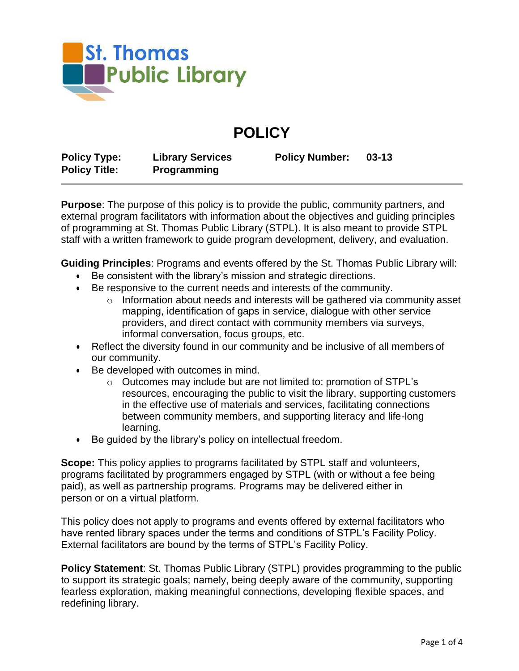

## **POLICY**

| <b>Policy Type:</b>  | <b>Library Services</b> | <b>Policy Number:</b> | $03 - 13$ |
|----------------------|-------------------------|-----------------------|-----------|
| <b>Policy Title:</b> | <b>Programming</b>      |                       |           |

**Purpose**: The purpose of this policy is to provide the public, community partners, and external program facilitators with information about the objectives and guiding principles of programming at St. Thomas Public Library (STPL). It is also meant to provide STPL staff with a written framework to guide program development, delivery, and evaluation.

**Guiding Principles**: Programs and events offered by the St. Thomas Public Library will:

- Be consistent with the library's mission and strategic directions.
- Be responsive to the current needs and interests of the community.
	- o Information about needs and interests will be gathered via community asset mapping, identification of gaps in service, dialogue with other service providers, and direct contact with community members via surveys, informal conversation, focus groups, etc.
- Reflect the diversity found in our community and be inclusive of all members of our community.
- Be developed with outcomes in mind.
	- o Outcomes may include but are not limited to: promotion of STPL's resources, encouraging the public to visit the library, supporting customers in the effective use of materials and services, facilitating connections between community members, and supporting literacy and life-long learning.
- Be guided by the library's policy on intellectual freedom.

**Scope:** This policy applies to programs facilitated by STPL staff and volunteers, programs facilitated by programmers engaged by STPL (with or without a fee being paid), as well as partnership programs. Programs may be delivered either in person or on a virtual platform.

This policy does not apply to programs and events offered by external facilitators who have rented library spaces under the terms and conditions of STPL's Facility Policy. External facilitators are bound by the terms of STPL's Facility Policy.

**Policy Statement**: St. Thomas Public Library (STPL) provides programming to the public to support its strategic goals; namely, being deeply aware of the community, supporting fearless exploration, making meaningful connections, developing flexible spaces, and redefining library.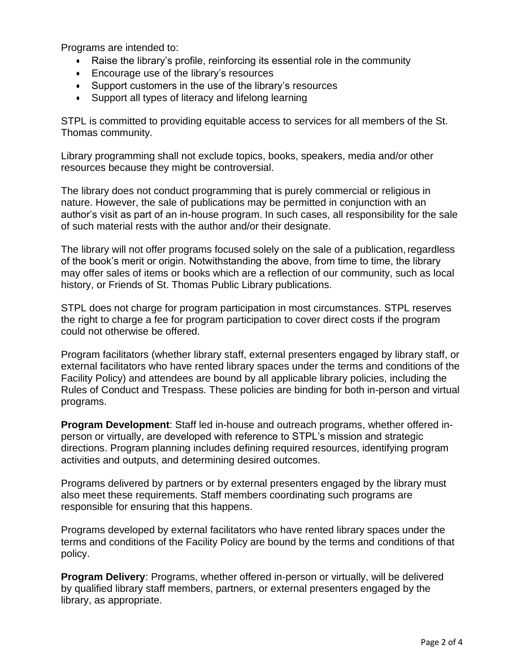Programs are intended to:

- Raise the library's profile, reinforcing its essential role in the community
- Encourage use of the library's resources
- Support customers in the use of the library's resources
- Support all types of literacy and lifelong learning

STPL is committed to providing equitable access to services for all members of the St. Thomas community.

Library programming shall not exclude topics, books, speakers, media and/or other resources because they might be controversial.

The library does not conduct programming that is purely commercial or religious in nature. However, the sale of publications may be permitted in conjunction with an author's visit as part of an in-house program. In such cases, all responsibility for the sale of such material rests with the author and/or their designate.

The library will not offer programs focused solely on the sale of a publication,regardless of the book's merit or origin. Notwithstanding the above, from time to time, the library may offer sales of items or books which are a reflection of our community, such as local history, or Friends of St. Thomas Public Library publications.

STPL does not charge for program participation in most circumstances. STPL reserves the right to charge a fee for program participation to cover direct costs if the program could not otherwise be offered.

Program facilitators (whether library staff, external presenters engaged by library staff, or external facilitators who have rented library spaces under the terms and conditions of the Facility Policy) and attendees are bound by all applicable library policies, including the Rules of Conduct and Trespass. These policies are binding for both in-person and virtual programs.

**Program Development**: Staff led in-house and outreach programs, whether offered inperson or virtually, are developed with reference to STPL's mission and strategic directions. Program planning includes defining required resources, identifying program activities and outputs, and determining desired outcomes.

Programs delivered by partners or by external presenters engaged by the library must also meet these requirements. Staff members coordinating such programs are responsible for ensuring that this happens.

Programs developed by external facilitators who have rented library spaces under the terms and conditions of the Facility Policy are bound by the terms and conditions of that policy.

**Program Delivery**: Programs, whether offered in-person or virtually, will be delivered by qualified library staff members, partners, or external presenters engaged by the library, as appropriate.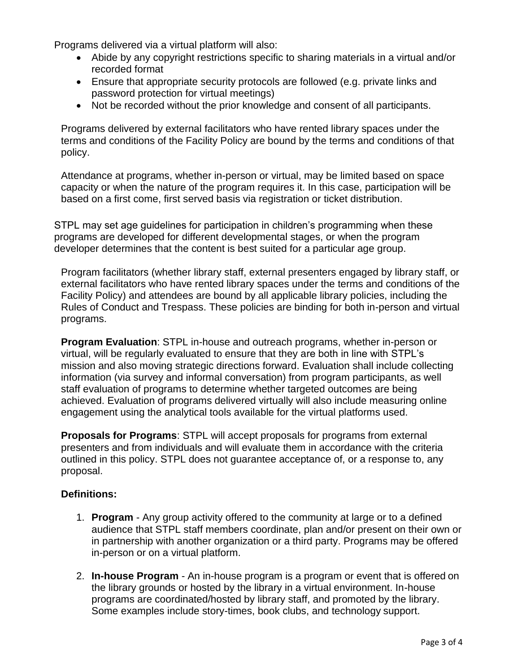Programs delivered via a virtual platform will also:

- Abide by any copyright restrictions specific to sharing materials in a virtual and/or recorded format
- Ensure that appropriate security protocols are followed (e.g. private links and password protection for virtual meetings)
- Not be recorded without the prior knowledge and consent of all participants.

Programs delivered by external facilitators who have rented library spaces under the terms and conditions of the Facility Policy are bound by the terms and conditions of that policy.

Attendance at programs, whether in-person or virtual, may be limited based on space capacity or when the nature of the program requires it. In this case, participation will be based on a first come, first served basis via registration or ticket distribution.

STPL may set age guidelines for participation in children's programming when these programs are developed for different developmental stages, or when the program developer determines that the content is best suited for a particular age group.

Program facilitators (whether library staff, external presenters engaged by library staff, or external facilitators who have rented library spaces under the terms and conditions of the Facility Policy) and attendees are bound by all applicable library policies, including the Rules of Conduct and Trespass. These policies are binding for both in-person and virtual programs.

**Program Evaluation**: STPL in-house and outreach programs, whether in-person or virtual, will be regularly evaluated to ensure that they are both in line with STPL's mission and also moving strategic directions forward. Evaluation shall include collecting information (via survey and informal conversation) from program participants, as well staff evaluation of programs to determine whether targeted outcomes are being achieved. Evaluation of programs delivered virtually will also include measuring online engagement using the analytical tools available for the virtual platforms used.

**Proposals for Programs**: STPL will accept proposals for programs from external presenters and from individuals and will evaluate them in accordance with the criteria outlined in this policy. STPL does not guarantee acceptance of, or a response to, any proposal.

## **Definitions:**

- 1. **Program**  Any group activity offered to the community at large or to a defined audience that STPL staff members coordinate, plan and/or present on their own or in partnership with another organization or a third party. Programs may be offered in-person or on a virtual platform.
- 2. **In-house Program**  An in-house program is a program or event that is offered on the library grounds or hosted by the library in a virtual environment. In-house programs are coordinated/hosted by library staff, and promoted by the library. Some examples include story-times, book clubs, and technology support.